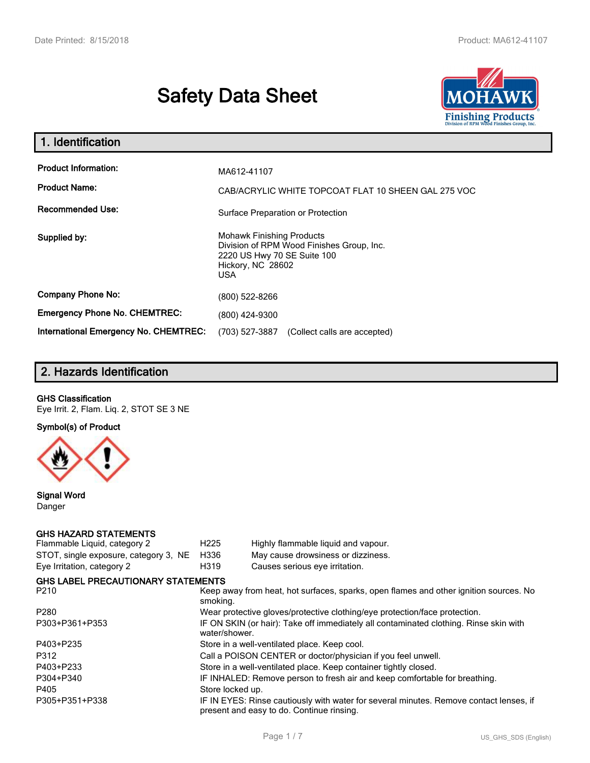# **Safety Data Sheet**



| 1. Identification                                   |                                                                                                                                          |
|-----------------------------------------------------|------------------------------------------------------------------------------------------------------------------------------------------|
| <b>Product Information:</b><br><b>Product Name:</b> | MA612-41107<br>CAB/ACRYLIC WHITE TOPCOAT FLAT 10 SHEEN GAL 275 VOC                                                                       |
| <b>Recommended Use:</b>                             | Surface Preparation or Protection                                                                                                        |
| Supplied by:                                        | <b>Mohawk Finishing Products</b><br>Division of RPM Wood Finishes Group, Inc.<br>2220 US Hwy 70 SE Suite 100<br>Hickory, NC 28602<br>USA |
| <b>Company Phone No:</b>                            | (800) 522-8266                                                                                                                           |
| <b>Emergency Phone No. CHEMTREC:</b>                | (800) 424-9300                                                                                                                           |
| <b>International Emergency No. CHEMTREC:</b>        | (703) 527-3887<br>(Collect calls are accepted)                                                                                           |

# **2. Hazards Identification**

#### **GHS Classification**

Eye Irrit. 2, Flam. Liq. 2, STOT SE 3 NE

**Symbol(s) of Product**



**Signal Word** Danger

## **GHS HAZARD STATEMENTS**

| Flammable Liquid, category 2              | H <sub>225</sub>                                                                                       | Highly flammable liquid and vapour.                                                                                                 |  |
|-------------------------------------------|--------------------------------------------------------------------------------------------------------|-------------------------------------------------------------------------------------------------------------------------------------|--|
| STOT, single exposure, category 3, NE     | H336                                                                                                   | May cause drowsiness or dizziness.                                                                                                  |  |
| Eye Irritation, category 2                | H319                                                                                                   | Causes serious eye irritation.                                                                                                      |  |
| <b>GHS LABEL PRECAUTIONARY STATEMENTS</b> |                                                                                                        |                                                                                                                                     |  |
| P210                                      | Keep away from heat, hot surfaces, sparks, open flames and other ignition sources. No<br>smoking.      |                                                                                                                                     |  |
| P280                                      | Wear protective gloves/protective clothing/eye protection/face protection.                             |                                                                                                                                     |  |
| P303+P361+P353                            | IF ON SKIN (or hair): Take off immediately all contaminated clothing. Rinse skin with<br>water/shower. |                                                                                                                                     |  |
| P403+P235                                 | Store in a well-ventilated place. Keep cool.                                                           |                                                                                                                                     |  |
| P312                                      | Call a POISON CENTER or doctor/physician if you feel unwell.                                           |                                                                                                                                     |  |
| P403+P233                                 | Store in a well-ventilated place. Keep container tightly closed.                                       |                                                                                                                                     |  |
| P304+P340                                 | IF INHALED: Remove person to fresh air and keep comfortable for breathing.                             |                                                                                                                                     |  |
| P405                                      | Store locked up.                                                                                       |                                                                                                                                     |  |
| P305+P351+P338                            |                                                                                                        | IF IN EYES: Rinse cautiously with water for several minutes. Remove contact lenses, if<br>present and easy to do. Continue rinsing. |  |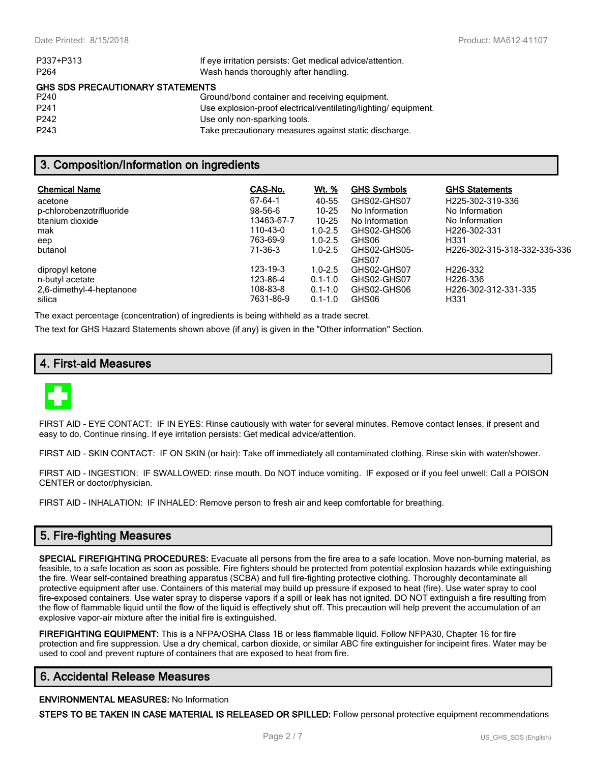| If eye irritation persists: Get medical advice/attention.      |
|----------------------------------------------------------------|
| Wash hands thoroughly after handling.                          |
| <b>GHS SDS PRECAUTIONARY STATEMENTS</b>                        |
| Ground/bond container and receiving equipment.                 |
| Use explosion-proof electrical/ventilating/lighting/equipment. |
| Use only non-sparking tools.                                   |
| Take precautionary measures against static discharge.          |
|                                                                |

## **3. Composition/Information on ingredients**

| <b>Chemical Name</b><br>acetone<br>p-chlorobenzotrifluoride<br>titanium dioxide<br>mak<br>eep<br>butanol | CAS-No.<br>$67 - 64 - 1$<br>$98 - 56 - 6$<br>13463-67-7<br>110-43-0<br>763-69-9<br>71-36-3 | <u>Wt. %</u><br>40-55<br>$10 - 25$<br>$10 - 25$<br>$1.0 - 2.5$<br>$1.0 - 2.5$<br>$1.0 - 2.5$ | <b>GHS Symbols</b><br>GHS02-GHS07<br>No Information<br>No Information<br>GHS02-GHS06<br>GHS06<br>GHS02-GHS05-<br>GHS07 | <b>GHS Statements</b><br>H225-302-319-336<br>No Information<br>No Information<br>H226-302-331<br>H <sub>331</sub><br>H <sub>226</sub> -302-315-318-332-335-336 |
|----------------------------------------------------------------------------------------------------------|--------------------------------------------------------------------------------------------|----------------------------------------------------------------------------------------------|------------------------------------------------------------------------------------------------------------------------|----------------------------------------------------------------------------------------------------------------------------------------------------------------|
| dipropyl ketone                                                                                          | 123-19-3                                                                                   | $1.0 - 2.5$                                                                                  | GHS02-GHS07                                                                                                            | H226-332                                                                                                                                                       |
| n-butyl acetate                                                                                          | 123-86-4                                                                                   | $0.1 - 1.0$                                                                                  | GHS02-GHS07                                                                                                            | H <sub>226</sub> -336                                                                                                                                          |
| 2,6-dimethyl-4-heptanone                                                                                 | 108-83-8                                                                                   | $0.1 - 1.0$                                                                                  | GHS02-GHS06                                                                                                            | H226-302-312-331-335                                                                                                                                           |
| silica                                                                                                   | 7631-86-9                                                                                  | $0.1 - 1.0$                                                                                  | GHS06                                                                                                                  | H <sub>331</sub>                                                                                                                                               |

The exact percentage (concentration) of ingredients is being withheld as a trade secret.

The text for GHS Hazard Statements shown above (if any) is given in the "Other information" Section.

## **4. First-aid Measures**



FIRST AID - EYE CONTACT: IF IN EYES: Rinse cautiously with water for several minutes. Remove contact lenses, if present and easy to do. Continue rinsing. If eye irritation persists: Get medical advice/attention.

FIRST AID - SKIN CONTACT: IF ON SKIN (or hair): Take off immediately all contaminated clothing. Rinse skin with water/shower.

FIRST AID - INGESTION: IF SWALLOWED: rinse mouth. Do NOT induce vomiting. IF exposed or if you feel unwell: Call a POISON CENTER or doctor/physician.

FIRST AID - INHALATION: IF INHALED: Remove person to fresh air and keep comfortable for breathing.

## **5. Fire-fighting Measures**

**SPECIAL FIREFIGHTING PROCEDURES:** Evacuate all persons from the fire area to a safe location. Move non-burning material, as feasible, to a safe location as soon as possible. Fire fighters should be protected from potential explosion hazards while extinguishing the fire. Wear self-contained breathing apparatus (SCBA) and full fire-fighting protective clothing. Thoroughly decontaminate all protective equipment after use. Containers of this material may build up pressure if exposed to heat (fire). Use water spray to cool fire-exposed containers. Use water spray to disperse vapors if a spill or leak has not ignited. DO NOT extinguish a fire resulting from the flow of flammable liquid until the flow of the liquid is effectively shut off. This precaution will help prevent the accumulation of an explosive vapor-air mixture after the initial fire is extinguished.

**FIREFIGHTING EQUIPMENT:** This is a NFPA/OSHA Class 1B or less flammable liquid. Follow NFPA30, Chapter 16 for fire protection and fire suppression. Use a dry chemical, carbon dioxide, or similar ABC fire extinguisher for incipeint fires. Water may be used to cool and prevent rupture of containers that are exposed to heat from fire.

#### **6. Accidental Release Measures**

#### **ENVIRONMENTAL MEASURES:** No Information

**STEPS TO BE TAKEN IN CASE MATERIAL IS RELEASED OR SPILLED:** Follow personal protective equipment recommendations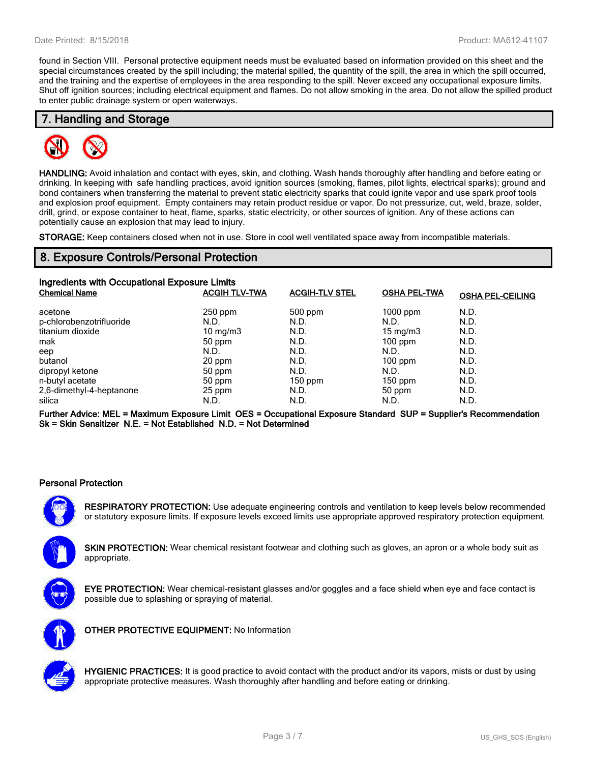found in Section VIII. Personal protective equipment needs must be evaluated based on information provided on this sheet and the special circumstances created by the spill including; the material spilled, the quantity of the spill, the area in which the spill occurred, and the training and the expertise of employees in the area responding to the spill. Never exceed any occupational exposure limits. Shut off ignition sources; including electrical equipment and flames. Do not allow smoking in the area. Do not allow the spilled product to enter public drainage system or open waterways.

## **7. Handling and Storage**



**HANDLING:** Avoid inhalation and contact with eyes, skin, and clothing. Wash hands thoroughly after handling and before eating or drinking. In keeping with safe handling practices, avoid ignition sources (smoking, flames, pilot lights, electrical sparks); ground and bond containers when transferring the material to prevent static electricity sparks that could ignite vapor and use spark proof tools and explosion proof equipment. Empty containers may retain product residue or vapor. Do not pressurize, cut, weld, braze, solder, drill, grind, or expose container to heat, flame, sparks, static electricity, or other sources of ignition. Any of these actions can potentially cause an explosion that may lead to injury.

**STORAGE:** Keep containers closed when not in use. Store in cool well ventilated space away from incompatible materials.

## **8. Exposure Controls/Personal Protection**

| Ingredients with Occupational Exposure Limits |                      |                       |                     |                         |  |
|-----------------------------------------------|----------------------|-----------------------|---------------------|-------------------------|--|
| <b>Chemical Name</b>                          | <b>ACGIH TLV-TWA</b> | <b>ACGIH-TLV STEL</b> | <b>OSHA PEL-TWA</b> | <b>OSHA PEL-CEILING</b> |  |
| acetone                                       | $250$ ppm            | 500 ppm               | $1000$ ppm          | N.D.                    |  |
| p-chlorobenzotrifluoride                      | N.D.                 | N.D.                  | N.D.                | N.D.                    |  |
| titanium dioxide                              | $10 \text{ mg/m}$    | N.D.                  | $15 \text{ mg/m}$   | N.D.                    |  |
| mak                                           | 50 ppm               | N.D.                  | $100$ ppm           | N.D.                    |  |
| eep                                           | N.D.                 | N.D.                  | N.D.                | N.D.                    |  |
| butanol                                       | 20 ppm               | N.D.                  | $100$ ppm           | N.D.                    |  |
| dipropyl ketone                               | 50 ppm               | N.D.                  | N.D.                | N.D.                    |  |
| n-butyl acetate                               | 50 ppm               | $150$ ppm             | $150$ ppm           | N.D.                    |  |
| 2,6-dimethyl-4-heptanone                      | 25 ppm               | N.D.                  | 50 ppm              | N.D.                    |  |
| silica                                        | N.D.                 | N.D.                  | N.D.                | N.D.                    |  |

**Further Advice: MEL = Maximum Exposure Limit OES = Occupational Exposure Standard SUP = Supplier's Recommendation Sk = Skin Sensitizer N.E. = Not Established N.D. = Not Determined**

#### **Personal Protection**

**RESPIRATORY PROTECTION:** Use adequate engineering controls and ventilation to keep levels below recommended or statutory exposure limits. If exposure levels exceed limits use appropriate approved respiratory protection equipment.

**SKIN PROTECTION:** Wear chemical resistant footwear and clothing such as gloves, an apron or a whole body suit as appropriate.



**EYE PROTECTION:** Wear chemical-resistant glasses and/or goggles and a face shield when eye and face contact is possible due to splashing or spraying of material.



**OTHER PROTECTIVE EQUIPMENT:** No Information



**HYGIENIC PRACTICES:** It is good practice to avoid contact with the product and/or its vapors, mists or dust by using appropriate protective measures. Wash thoroughly after handling and before eating or drinking.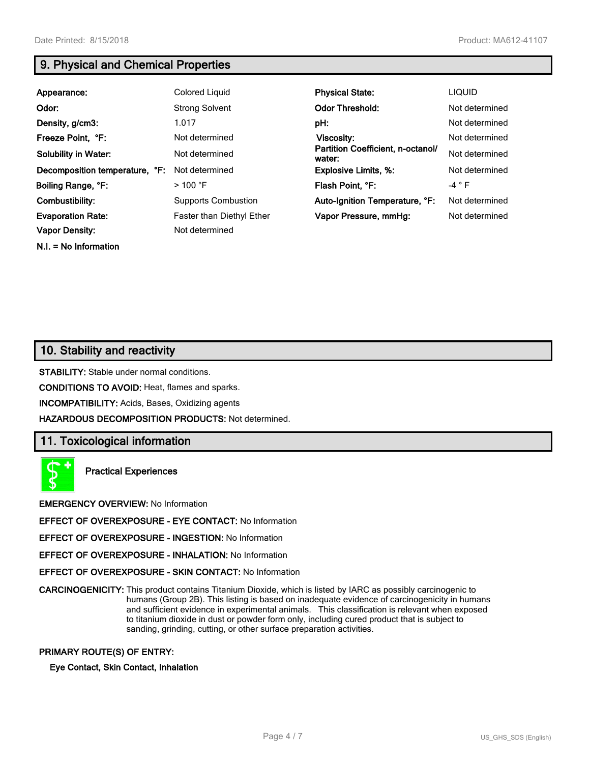**N.I. = No Information**

## **9. Physical and Chemical Properties**

| Appearance:                    | <b>Colored Liquid</b>      | <b>Physical State:</b>                      | <b>LIQUID</b>  |
|--------------------------------|----------------------------|---------------------------------------------|----------------|
| Odor:                          | <b>Strong Solvent</b>      | <b>Odor Threshold:</b>                      | Not determined |
| Density, g/cm3:                | 1.017                      | pH:                                         | Not determined |
| Freeze Point, °F:              | Not determined             | Viscosity:                                  | Not determined |
| <b>Solubility in Water:</b>    | Not determined             | Partition Coefficient, n-octanol/<br>water: | Not determined |
| Decomposition temperature, °F: | Not determined             | <b>Explosive Limits, %:</b>                 | Not determined |
| Boiling Range, °F:             | $>100$ °F                  | Flash Point, °F:                            | $-4 ° F$       |
| Combustibility:                | <b>Supports Combustion</b> | Auto-Ignition Temperature, °F:              | Not determined |
| <b>Evaporation Rate:</b>       | Faster than Diethyl Ether  | Vapor Pressure, mmHq:                       | Not determined |
| <b>Vapor Density:</b>          | Not determined             |                                             |                |

## **10. Stability and reactivity**

**STABILITY:** Stable under normal conditions.

**CONDITIONS TO AVOID:** Heat, flames and sparks.

**INCOMPATIBILITY:** Acids, Bases, Oxidizing agents

**HAZARDOUS DECOMPOSITION PRODUCTS:** Not determined.

#### **11. Toxicological information**



**Practical Experiences**

**EMERGENCY OVERVIEW:** No Information

**EFFECT OF OVEREXPOSURE - EYE CONTACT:** No Information

**EFFECT OF OVEREXPOSURE - INGESTION:** No Information

**EFFECT OF OVEREXPOSURE - INHALATION:** No Information

**EFFECT OF OVEREXPOSURE - SKIN CONTACT:** No Information

**CARCINOGENICITY:** This product contains Titanium Dioxide, which is listed by IARC as possibly carcinogenic to humans (Group 2B). This listing is based on inadequate evidence of carcinogenicity in humans and sufficient evidence in experimental animals. This classification is relevant when exposed to titanium dioxide in dust or powder form only, including cured product that is subject to sanding, grinding, cutting, or other surface preparation activities.

#### **PRIMARY ROUTE(S) OF ENTRY:**

**Eye Contact, Skin Contact, Inhalation**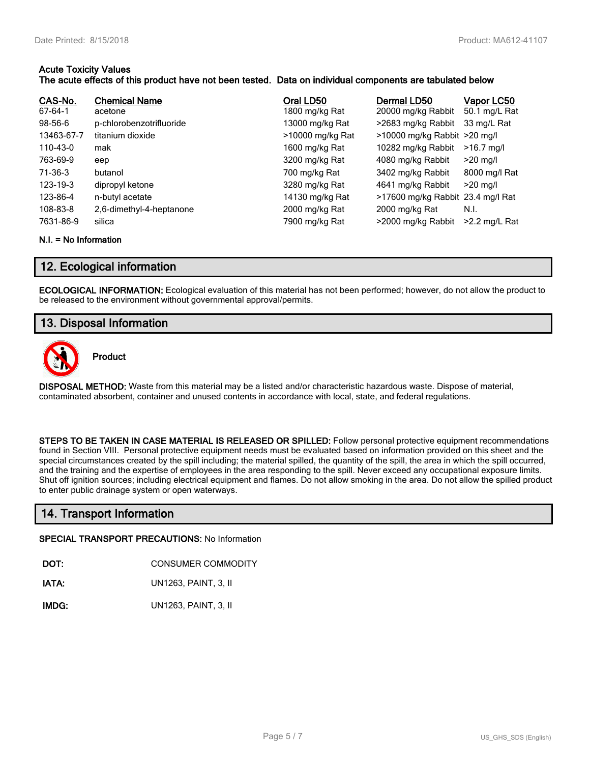#### **Acute Toxicity Values The acute effects of this product have not been tested. Data on individual components are tabulated below**

| CAS-No.<br>67-64-1<br>$98-56-6$<br>13463-67-7<br>110-43-0<br>763-69-9<br>71-36-3<br>$123 - 19 - 3$<br>123-86-4<br>108-83-8 | <b>Chemical Name</b><br>acetone<br>p-chlorobenzotrifluoride<br>titanium dioxide<br>mak<br>eep<br>butanol<br>dipropyl ketone<br>n-butyl acetate<br>2,6-dimethyl-4-heptanone | Oral LD50<br>1800 mg/kg Rat<br>13000 mg/kg Rat<br>>10000 mg/kg Rat<br>1600 mg/kg Rat<br>3200 mg/kg Rat<br>700 mg/kg Rat<br>3280 mg/kg Rat<br>14130 mg/kg Rat | Dermal LD50<br>20000 mg/kg Rabbit<br>>2683 mg/kg Rabbit<br>>10000 mg/kg Rabbit >20 mg/l<br>10282 mg/kg Rabbit<br>4080 mg/kg Rabbit<br>3402 mg/kg Rabbit<br>4641 mg/kg Rabbit<br>>17600 mg/kg Rabbit 23.4 mg/l Rat | Vapor LC50<br>50.1 mg/L Rat<br>33 mg/L Rat<br>$>16.7$ mg/l<br>$>20$ mg/l<br>8000 mg/l Rat<br>$>20$ mg/l<br>N.I. |
|----------------------------------------------------------------------------------------------------------------------------|----------------------------------------------------------------------------------------------------------------------------------------------------------------------------|--------------------------------------------------------------------------------------------------------------------------------------------------------------|-------------------------------------------------------------------------------------------------------------------------------------------------------------------------------------------------------------------|-----------------------------------------------------------------------------------------------------------------|
| 7631-86-9                                                                                                                  | silica                                                                                                                                                                     | 2000 mg/kg Rat<br>7900 mg/kg Rat                                                                                                                             | 2000 mg/kg Rat<br>>2000 mg/kg Rabbit                                                                                                                                                                              | $>2.2$ mg/L Rat                                                                                                 |

#### **N.I. = No Information**

## **12. Ecological information**

**ECOLOGICAL INFORMATION:** Ecological evaluation of this material has not been performed; however, do not allow the product to be released to the environment without governmental approval/permits.

## **13. Disposal Information**



**Product**

**DISPOSAL METHOD:** Waste from this material may be a listed and/or characteristic hazardous waste. Dispose of material, contaminated absorbent, container and unused contents in accordance with local, state, and federal regulations.

**STEPS TO BE TAKEN IN CASE MATERIAL IS RELEASED OR SPILLED:** Follow personal protective equipment recommendations found in Section VIII. Personal protective equipment needs must be evaluated based on information provided on this sheet and the special circumstances created by the spill including; the material spilled, the quantity of the spill, the area in which the spill occurred, and the training and the expertise of employees in the area responding to the spill. Never exceed any occupational exposure limits. Shut off ignition sources; including electrical equipment and flames. Do not allow smoking in the area. Do not allow the spilled product to enter public drainage system or open waterways.

## **14. Transport Information**

#### **SPECIAL TRANSPORT PRECAUTIONS:** No Information

**DOT:** CONSUMER COMMODITY

**IATA:** UN1263, PAINT, 3, II

**IMDG:** UN1263, PAINT, 3, II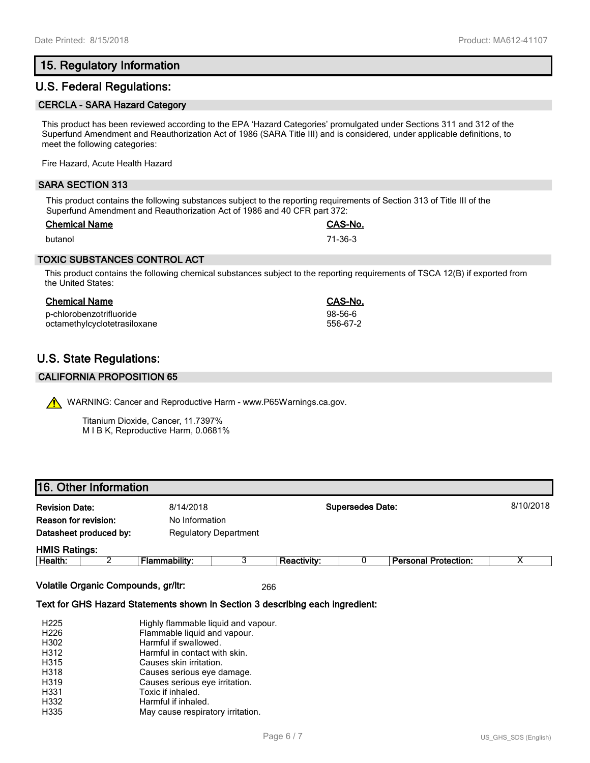## **15. Regulatory Information**

## **U.S. Federal Regulations:**

#### **CERCLA - SARA Hazard Category**

This product has been reviewed according to the EPA 'Hazard Categories' promulgated under Sections 311 and 312 of the Superfund Amendment and Reauthorization Act of 1986 (SARA Title III) and is considered, under applicable definitions, to meet the following categories:

Fire Hazard, Acute Health Hazard

#### **SARA SECTION 313**

This product contains the following substances subject to the reporting requirements of Section 313 of Title III of the Superfund Amendment and Reauthorization Act of 1986 and 40 CFR part 372:

| <b>Chemical Name</b> | <b>CAS-No.</b> |
|----------------------|----------------|
| butanol              | 71-36-3        |

#### **TOXIC SUBSTANCES CONTROL ACT**

This product contains the following chemical substances subject to the reporting requirements of TSCA 12(B) if exported from the United States:

#### **Chemical Name CAS-No.**

p-chlorobenzotrifluoride 98-56-6 octamethylcyclotetrasiloxane

# **U.S. State Regulations:**

#### **CALIFORNIA PROPOSITION 65**

WARNING: Cancer and Reproductive Harm - www.P65Warnings.ca.gov.

Titanium Dioxide, Cancer, 11.7397% M I B K, Reproductive Harm, 0.0681%

## **16. Other Information**

| <b>Revision Date:</b><br>Reason for revision:          |  | 8/14/2018<br>No Information |  |                    | <b>Supersedes Date:</b> |                             | 8/10/2018 |
|--------------------------------------------------------|--|-----------------------------|--|--------------------|-------------------------|-----------------------------|-----------|
| Datasheet produced by:<br><b>Regulatory Department</b> |  |                             |  |                    |                         |                             |           |
| <b>HMIS Ratings:</b>                                   |  |                             |  |                    |                         |                             |           |
| Health:                                                |  | Flammability:               |  | <b>Reactivity:</b> |                         | <b>Personal Protection:</b> | х         |

**Volatile Organic Compounds, gr/ltr:** 266

#### **Text for GHS Hazard Statements shown in Section 3 describing each ingredient:**

| H <sub>225</sub> | Highly flammable liquid and vapour. |
|------------------|-------------------------------------|
| H <sub>226</sub> | Flammable liquid and vapour.        |
| H302             | Harmful if swallowed.               |
| H312             | Harmful in contact with skin.       |
| H315             | Causes skin irritation.             |
| H318             | Causes serious eye damage.          |
| H319             | Causes serious eye irritation.      |
| H331             | Toxic if inhaled.                   |
| H332             | Harmful if inhaled.                 |
| H335             | May cause respiratory irritation.   |